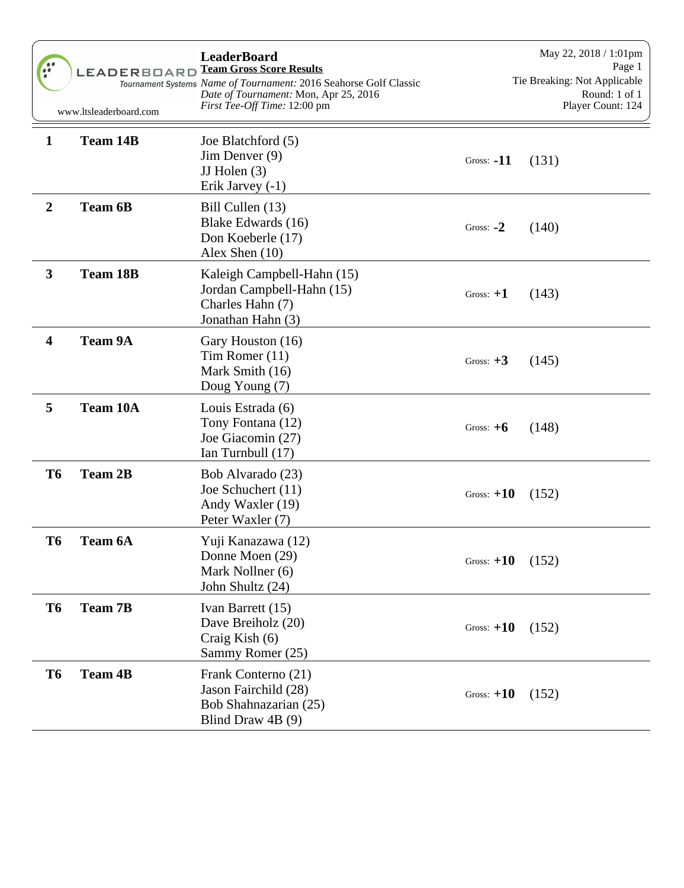| $\bullet \bullet$<br>$\ddot{\cdot}$ | LEADERBOARD<br>www.ltsleaderboard.com | <b>LeaderBoard</b><br><b>Team Gross Score Results</b><br>Tournament Systems Name of Tournament: 2016 Seahorse Golf Classic<br>Date of Tournament: Mon, Apr 25, 2016<br>First Tee-Off Time: 12:00 pm |              | May 22, 2018 / 1:01pm<br>Page 1<br>Tie Breaking: Not Applicable<br>Round: 1 of 1<br>Player Count: 124 |
|-------------------------------------|---------------------------------------|-----------------------------------------------------------------------------------------------------------------------------------------------------------------------------------------------------|--------------|-------------------------------------------------------------------------------------------------------|
| $\mathbf{1}$                        | <b>Team 14B</b>                       | Joe Blatchford (5)<br>$Jim$ Denver $(9)$<br>JJ Holen $(3)$<br>Erik Jarvey (-1)                                                                                                                      | Gross: $-11$ | (131)                                                                                                 |
| $\boldsymbol{2}$                    | <b>Team 6B</b>                        | Bill Cullen (13)<br>Blake Edwards (16)<br>Don Koeberle (17)<br>Alex Shen $(10)$                                                                                                                     | Gross: $-2$  | (140)                                                                                                 |
| $\mathbf{3}$                        | <b>Team 18B</b>                       | Kaleigh Campbell-Hahn (15)<br>Jordan Campbell-Hahn (15)<br>Charles Hahn (7)<br>Jonathan Hahn (3)                                                                                                    | Gross: $+1$  | (143)                                                                                                 |
| $\overline{\mathbf{4}}$             | <b>Team 9A</b>                        | Gary Houston (16)<br>Tim Romer (11)<br>Mark Smith (16)<br>Doug Young (7)                                                                                                                            | Gross: $+3$  | (145)                                                                                                 |
| 5                                   | <b>Team 10A</b>                       | Louis Estrada (6)<br>Tony Fontana (12)<br>Joe Giacomin (27)<br>Ian Turnbull (17)                                                                                                                    | Gross: $+6$  | (148)                                                                                                 |
| <b>T6</b>                           | <b>Team 2B</b>                        | Bob Alvarado (23)<br>Joe Schuchert (11)<br>Andy Waxler (19)<br>Peter Waxler (7)                                                                                                                     | Gross: $+10$ | (152)                                                                                                 |
| T6                                  | <b>Team 6A</b>                        | Yuji Kanazawa (12)<br>Donne Moen (29)<br>Mark Nollner (6)<br>John Shultz (24)                                                                                                                       | Gross: $+10$ | (152)                                                                                                 |
| T <sub>6</sub>                      | <b>Team 7B</b>                        | Ivan Barrett (15)<br>Dave Breiholz (20)<br>Craig Kish (6)<br>Sammy Romer (25)                                                                                                                       | Gross: $+10$ | (152)                                                                                                 |
| T <sub>6</sub>                      | <b>Team 4B</b>                        | Frank Conterno (21)<br>Jason Fairchild (28)<br>Bob Shahnazarian (25)<br>Blind Draw $4B(9)$                                                                                                          | Gross: $+10$ | (152)                                                                                                 |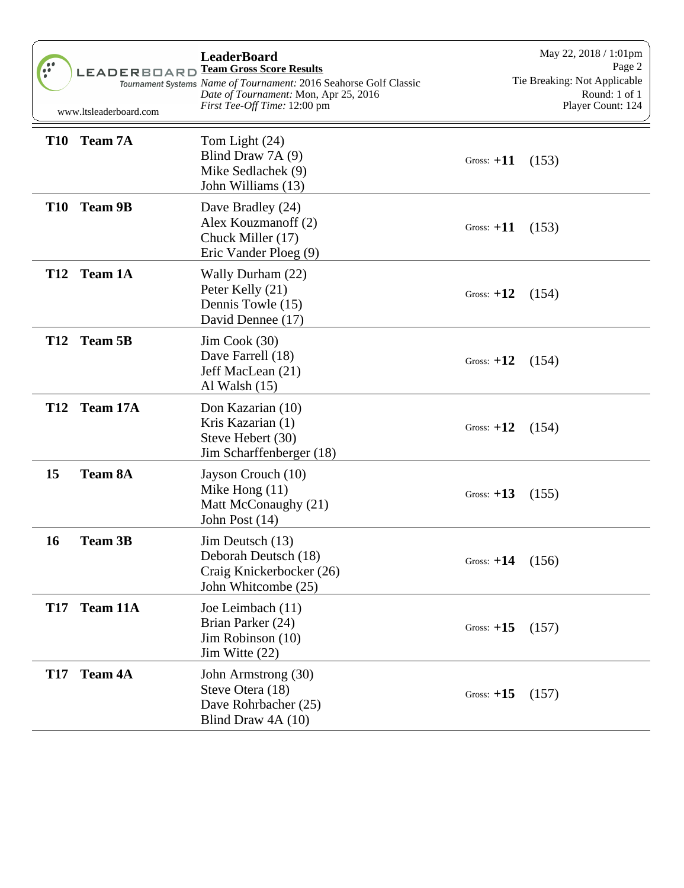| 90         | <b>LEADERBOARD</b><br>www.ltsleaderboard.com | <b>LeaderBoard</b><br><b>Team Gross Score Results</b><br>Tournament Systems Name of Tournament: 2016 Seahorse Golf Classic<br>Date of Tournament: Mon, Apr 25, 2016<br><i>First Tee-Off Time:</i> 12:00 pm |              | May 22, 2018 / 1:01pm<br>Page 2<br>Tie Breaking: Not Applicable<br>Round: 1 of 1<br>Player Count: 124 |
|------------|----------------------------------------------|------------------------------------------------------------------------------------------------------------------------------------------------------------------------------------------------------------|--------------|-------------------------------------------------------------------------------------------------------|
| <b>T10</b> | <b>Team 7A</b>                               | Tom Light (24)<br>Blind Draw 7A (9)<br>Mike Sedlachek (9)<br>John Williams (13)                                                                                                                            | Gross: $+11$ | (153)                                                                                                 |
| <b>T10</b> | <b>Team 9B</b>                               | Dave Bradley (24)<br>Alex Kouzmanoff (2)<br>Chuck Miller (17)<br>Eric Vander Ploeg (9)                                                                                                                     | Gross: $+11$ | (153)                                                                                                 |
| <b>T12</b> | <b>Team 1A</b>                               | Wally Durham (22)<br>Peter Kelly (21)<br>Dennis Towle (15)<br>David Dennee (17)                                                                                                                            | Gross: $+12$ | (154)                                                                                                 |
|            | T12 Team 5B                                  | $Jim \, Cook \, (30)$<br>Dave Farrell (18)<br>Jeff MacLean (21)<br>Al Walsh $(15)$                                                                                                                         | Gross: $+12$ | (154)                                                                                                 |
|            | T12 Team 17A                                 | Don Kazarian (10)<br>Kris Kazarian (1)<br>Steve Hebert (30)<br>Jim Scharffenberger (18)                                                                                                                    | Gross: $+12$ | (154)                                                                                                 |
| 15         | <b>Team 8A</b>                               | Jayson Crouch (10)<br>Mike Hong $(11)$<br>Matt McConaughy (21)<br>John Post (14)                                                                                                                           | Gross: $+13$ | (155)                                                                                                 |
| 16         | <b>Team 3B</b>                               | Jim Deutsch (13)<br>Deborah Deutsch (18)<br>Craig Knickerbocker (26)<br>John Whitcombe (25)                                                                                                                | Gross: $+14$ | (156)                                                                                                 |
| <b>T17</b> | Team 11A                                     | Joe Leimbach (11)<br>Brian Parker (24)<br>Jim Robinson (10)<br>Jim Witte $(22)$                                                                                                                            | Gross: $+15$ | (157)                                                                                                 |
| <b>T17</b> | <b>Team 4A</b>                               | John Armstrong (30)<br>Steve Otera (18)<br>Dave Rohrbacher (25)<br>Blind Draw 4A (10)                                                                                                                      | Gross: $+15$ | (157)                                                                                                 |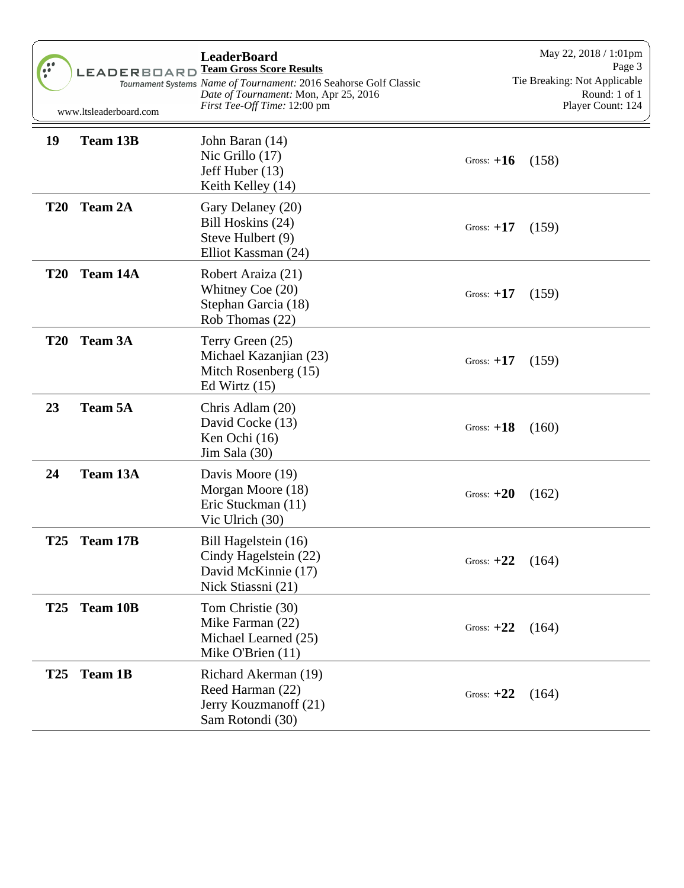| $\bullet\bullet$<br>$\bullet \bullet$ | <b>LEADERBOARD</b><br>www.ltsleaderboard.com | <b>LeaderBoard</b><br><b>Team Gross Score Results</b><br>Tournament Systems Name of Tournament: 2016 Seahorse Golf Classic<br>Date of Tournament: Mon, Apr 25, 2016<br><i>First Tee-Off Time:</i> 12:00 pm |              | May 22, 2018 / 1:01pm<br>Page 3<br>Tie Breaking: Not Applicable<br>Round: 1 of 1<br>Player Count: 124 |
|---------------------------------------|----------------------------------------------|------------------------------------------------------------------------------------------------------------------------------------------------------------------------------------------------------------|--------------|-------------------------------------------------------------------------------------------------------|
| 19                                    | <b>Team 13B</b>                              | John Baran (14)<br>Nic Grillo (17)<br>Jeff Huber (13)<br>Keith Kelley (14)                                                                                                                                 | Gross: $+16$ | (158)                                                                                                 |
| <b>T20</b>                            | <b>Team 2A</b>                               | Gary Delaney (20)<br>Bill Hoskins (24)<br>Steve Hulbert (9)<br>Elliot Kassman (24)                                                                                                                         | Gross: $+17$ | (159)                                                                                                 |
| <b>T20</b>                            | Team 14A                                     | Robert Araiza (21)<br>Whitney Coe $(20)$<br>Stephan Garcia (18)<br>Rob Thomas (22)                                                                                                                         | Gross: $+17$ | (159)                                                                                                 |
| <b>T20</b>                            | <b>Team 3A</b>                               | Terry Green (25)<br>Michael Kazanjian (23)<br>Mitch Rosenberg (15)<br>Ed Wirtz $(15)$                                                                                                                      | Gross: $+17$ | (159)                                                                                                 |
| 23                                    | <b>Team 5A</b>                               | Chris Adlam (20)<br>David Cocke (13)<br>Ken Ochi (16)<br>Jim Sala (30)                                                                                                                                     | Gross: $+18$ | (160)                                                                                                 |
| 24                                    | Team 13A                                     | Davis Moore (19)<br>Morgan Moore (18)<br>Eric Stuckman (11)<br>Vic Ulrich (30)                                                                                                                             | Gross: $+20$ | (162)                                                                                                 |
| <b>T25</b>                            | Team 17B                                     | Bill Hagelstein (16)<br>Cindy Hagelstein (22)<br>David McKinnie (17)<br>Nick Stiassni (21)                                                                                                                 | Gross: $+22$ | (164)                                                                                                 |
| <b>T25</b>                            | <b>Team 10B</b>                              | Tom Christie (30)<br>Mike Farman (22)<br>Michael Learned (25)<br>Mike O'Brien $(11)$                                                                                                                       | Gross: $+22$ | (164)                                                                                                 |
| <b>T25</b>                            | <b>Team 1B</b>                               | Richard Akerman (19)<br>Reed Harman (22)<br>Jerry Kouzmanoff (21)<br>Sam Rotondi (30)                                                                                                                      | Gross: $+22$ | (164)                                                                                                 |